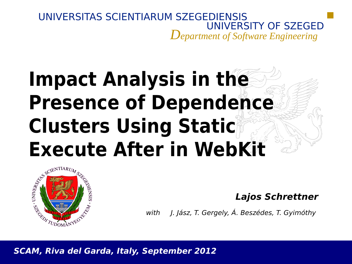### UNIVERSITAS SCIENTIARUM SZEGEDIENSIS UNIVERSITY OF SZEGED *Department of Software Engineering*

# **Impact Analysis in the Presence of Dependence Clusters Using Static Execute After in WebKit**



**Lajos Schrettner**

with J. Jász, T. Gergely, Á. Beszédes, T. Gyimóthy

**SCAM, Riva del Garda, Italy, September 2012**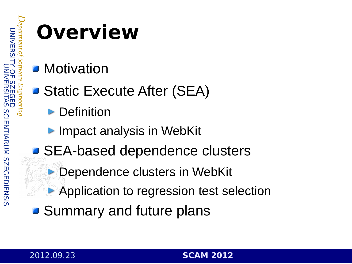*D ep a*

*rtment* 

*o f*

*S o ftw a*

*re E n gin*  $\sigma$  $\sigma$ *rin g*

# **Overview**

- **Motivation**
- Static Execute After (SEA)
	- **Definition**
	- **Impact analysis in WebKit**
- SEA-based dependence clusters
	- **Dependence clusters in WebKit**
	- **Application to regression test selection**
- **B** Summary and future plans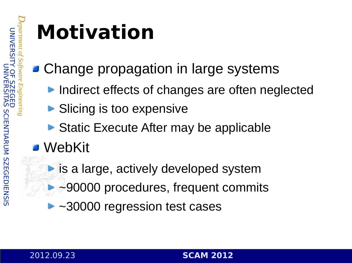*D*

*rtment* 

*re E n*

 $\sigma$  $\sigma$ *rin*

# **Motivation**

- **E** Change propagation in large systems
	- ▶ Indirect effects of changes are often neglected
	- **Slicing is too expensive**
	- ▶ Static Execute After may be applicable
- WebKit
	- **is a large, actively developed system**
	- ▶ →90000 procedures, frequent commits
	- ► ~30000 regression test cases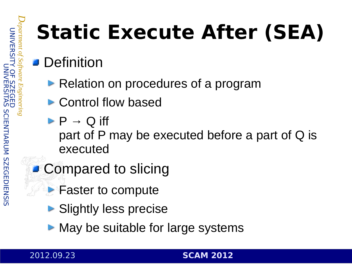*D*

*rtment* 

*re E n*

 $\sigma$  $\sigma$ 

# **Static Execute After (SEA)**

### **Definition**

- ▶ Relation on procedures of a program
- ▶ Control flow based
- $\triangleright$  P  $\rightarrow$  Q iff part of P may be executed before a part of Q is executed
- **Compared to slicing** 
	- **Faster to compute** 
		- **Slightly less precise**
		- $\triangleright$  May be suitable for large systems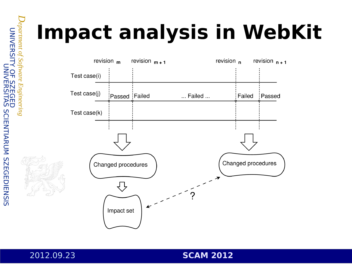# **Impact analysis in WebKit**



*D ep a*

*rtment* 

*o f*

*S o ftw a*

*re*

*E n gin e e rin g*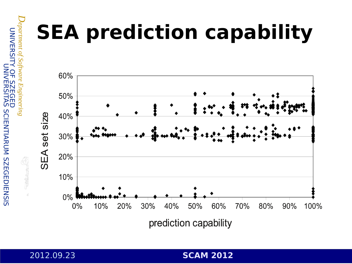# **SEA prediction capability**



prediction capability

 $\subset$  $\overline{\le}$  $\overline{\mathbf{H}}$ 刀

*D ep a*

*rtment* 

*o f*

*S o ftw a*

*re*

*E n gin e e rin g*

SITY

 $\subset$ Z<br>K  $\overline{\Box}$ 又

SITA  $\overline{\mathsf{S}}$  $\overline{\mathsf{S}}$  $\frac{\bigcap}{\Box}$ Z TIA 고  $\subset$ M ທ  $\overline{\mathsf{N}}$  $\overline{\mathsf{m}}$ G  $\overline{\Box}$  $\frac{\square}{\square}$ Z <u>က</u>

 $\mathsf{O}$  $\overline{\mathbf{L}}$  $\overline{\mathsf{S}}$  $\overline{\mathsf{N}}$  $\blacksquare$ G  $\overline{\mathbf{H}}$  $\overline{\mathbf{\cup}}$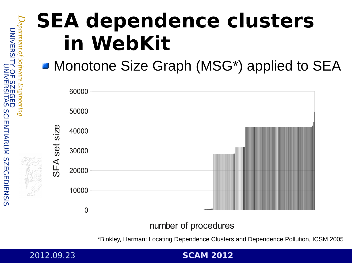# **SEA dependence clusters in WebKit**

### Monotone Size Graph (MSG\*) applied to SEA



### number of procedures

\*Binkley, Harman: Locating Dependence Clusters and Dependence Pollution, ICSM 2005

#### 2012.09.23 **SCAM 2012**

*D*

*rtment* 

*re E n*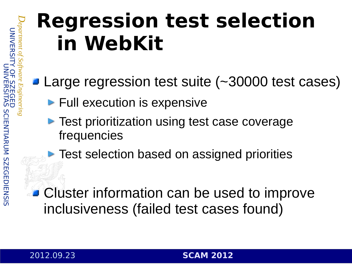*D ep a*

*rtment* 

*o f*

*S o ftw a*

*re E n gin*  $\sigma$  $\sigma$ *rin g*

# **Regression test selection in WebKit**

- Large regression test suite (~30000 test cases)
	- **Full execution is expensive**
	- **Test prioritization using test case coverage** frequencies
	- **Test selection based on assigned priorities**

**Cluster information can be used to improve** inclusiveness (failed test cases found)